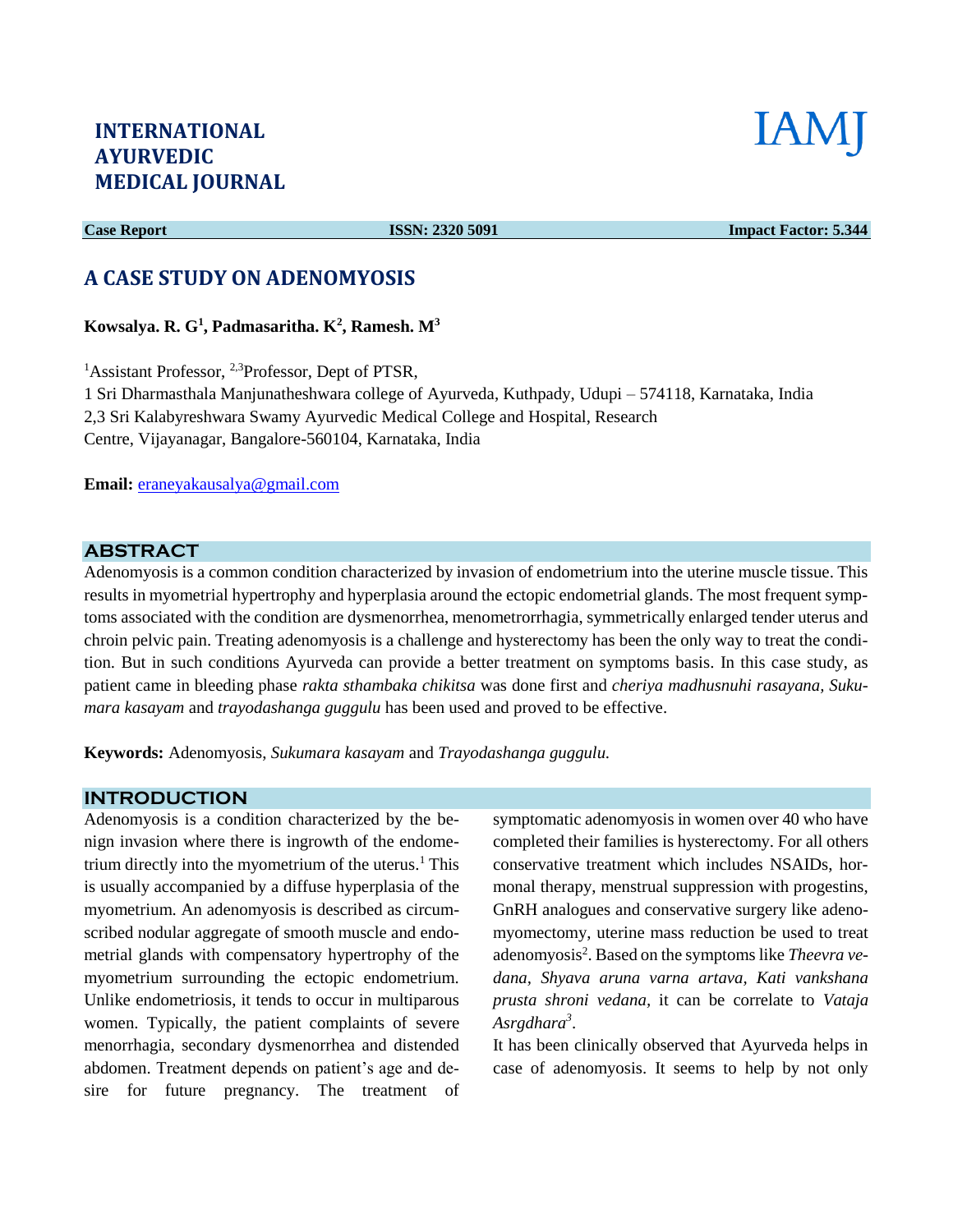# **INTERNATIONAL AYURVEDIC MEDICAL JOURNAL**



**Case Report ISSN: 2320 5091 Impact Factor: 5.344** 

# **A CASE STUDY ON ADENOMYOSIS**

**Kowsalya. R. G<sup>1</sup> , Padmasaritha. K<sup>2</sup> , Ramesh. M<sup>3</sup>**

<sup>1</sup>Assistant Professor, <sup>2,3</sup>Professor, Dept of PTSR,

1 Sri Dharmasthala Manjunatheshwara college of Ayurveda, Kuthpady, Udupi – 574118, Karnataka, India 2,3 Sri Kalabyreshwara Swamy Ayurvedic Medical College and Hospital, Research Centre, Vijayanagar, Bangalore-560104, Karnataka, India

**Email:** [eraneyakausalya@gmail.com](mailto:eraneyakausalya@gmail.com) 

### **ABSTRACT**

Adenomyosis is a common condition characterized by invasion of endometrium into the uterine muscle tissue. This results in myometrial hypertrophy and hyperplasia around the ectopic endometrial glands. The most frequent symptoms associated with the condition are dysmenorrhea, menometrorrhagia, symmetrically enlarged tender uterus and chroin pelvic pain. Treating adenomyosis is a challenge and hysterectomy has been the only way to treat the condition. But in such conditions Ayurveda can provide a better treatment on symptoms basis. In this case study, as patient came in bleeding phase *rakta sthambaka chikitsa* was done first and *cheriya madhusnuhi rasayana, Sukumara kasayam* and *trayodashanga guggulu* has been used and proved to be effective.

**Keywords:** Adenomyosis, *Sukumara kasayam* and *Trayodashanga guggulu.*

## **INTRODUCTION**

Adenomyosis is a condition characterized by the benign invasion where there is ingrowth of the endometrium directly into the myometrium of the uterus. $<sup>1</sup>$  This</sup> is usually accompanied by a diffuse hyperplasia of the myometrium. An adenomyosis is described as circumscribed nodular aggregate of smooth muscle and endometrial glands with compensatory hypertrophy of the myometrium surrounding the ectopic endometrium. Unlike endometriosis, it tends to occur in multiparous women. Typically, the patient complaints of severe menorrhagia, secondary dysmenorrhea and distended abdomen. Treatment depends on patient's age and desire for future pregnancy. The treatment of symptomatic adenomyosis in women over 40 who have completed their families is hysterectomy. For all others conservative treatment which includes NSAIDs, hormonal therapy, menstrual suppression with progestins, GnRH analogues and conservative surgery like adenomyomectomy, uterine mass reduction be used to treat adenomyosis<sup>2</sup>. Based on the symptoms like *Theevra vedana, Shyava aruna varna artava, Kati vankshana prusta shroni vedana,* it can be correlate to *Vataja Asrgdhara<sup>3</sup>* .

It has been clinically observed that Ayurveda helps in case of adenomyosis. It seems to help by not only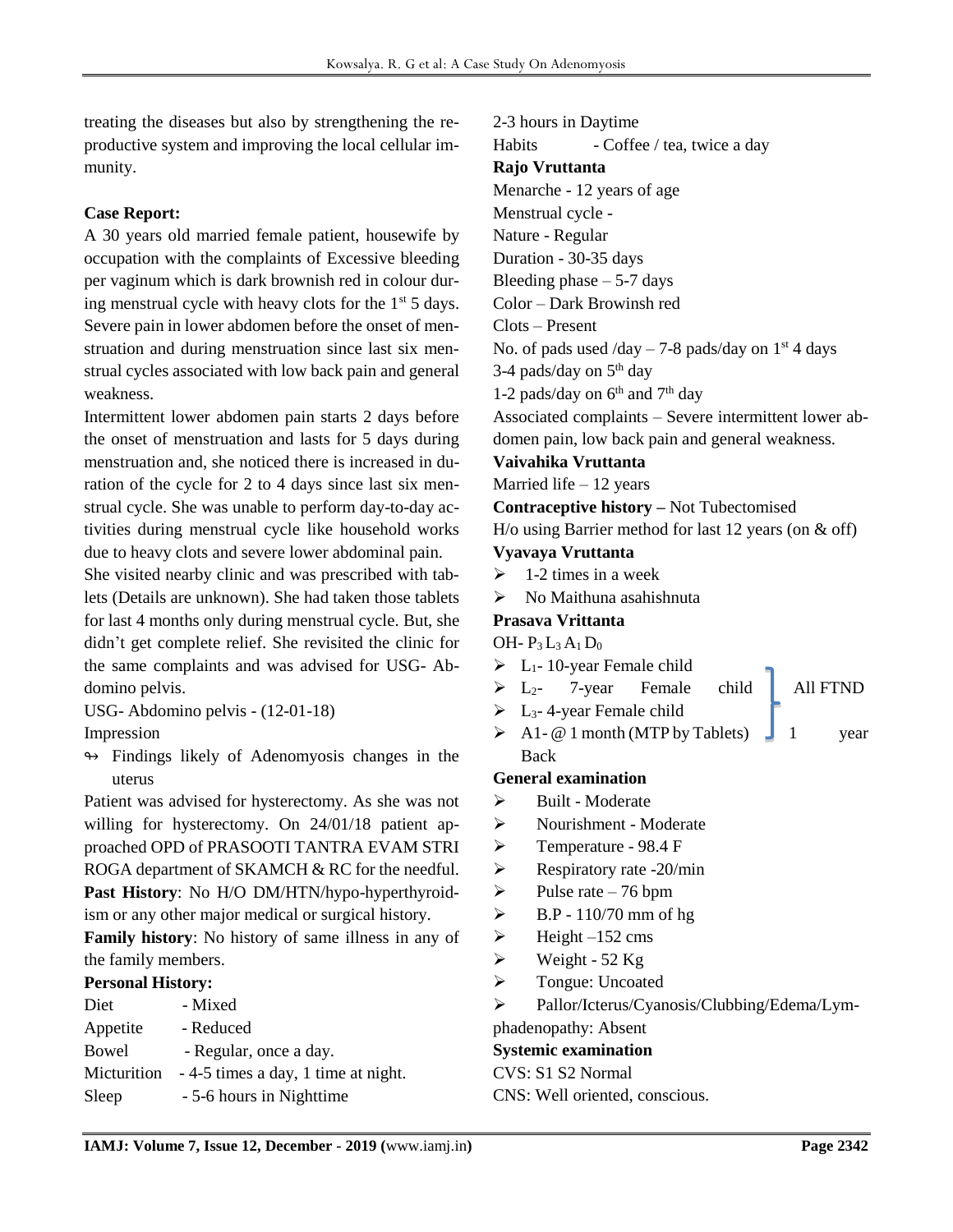treating the diseases but also by strengthening the reproductive system and improving the local cellular immunity.

## **Case Report:**

A 30 years old married female patient, housewife by occupation with the complaints of Excessive bleeding per vaginum which is dark brownish red in colour during menstrual cycle with heavy clots for the  $1<sup>st</sup> 5$  days. Severe pain in lower abdomen before the onset of menstruation and during menstruation since last six menstrual cycles associated with low back pain and general weakness.

Intermittent lower abdomen pain starts 2 days before the onset of menstruation and lasts for 5 days during menstruation and, she noticed there is increased in duration of the cycle for 2 to 4 days since last six menstrual cycle. She was unable to perform day-to-day activities during menstrual cycle like household works due to heavy clots and severe lower abdominal pain.

She visited nearby clinic and was prescribed with tablets (Details are unknown). She had taken those tablets for last 4 months only during menstrual cycle. But, she didn't get complete relief. She revisited the clinic for the same complaints and was advised for USG- Abdomino pelvis.

USG- Abdomino pelvis - (12-01-18)

Impression

↬ Findings likely of Adenomyosis changes in the uterus

Patient was advised for hysterectomy. As she was not willing for hysterectomy. On 24/01/18 patient approached OPD of PRASOOTI TANTRA EVAM STRI ROGA department of SKAMCH & RC for the needful. **Past History**: No H/O DM/HTN/hypo-hyperthyroid-

ism or any other major medical or surgical history.

**Family history**: No history of same illness in any of the family members.

#### **Personal History:**

| Diet        | - Mixed                             |
|-------------|-------------------------------------|
| Appetite    | - Reduced                           |
| Bowel       | - Regular, once a day.              |
| Micturition | - 4-5 times a day, 1 time at night. |
| Sleep       | - 5-6 hours in Nighttime            |
|             |                                     |

2-3 hours in Daytime Habits - Coffee / tea, twice a day **Rajo Vruttanta** Menarche - 12 years of age Menstrual cycle - Nature - Regular Duration - 30-35 days Bleeding phase  $-5-7$  days Color – Dark Browinsh red Clots – Present No. of pads used  $\frac{\text{day} - 7 - 8}{\text{pads}}$  /day on 1<sup>st</sup> 4 days 3-4 pads/day on  $5<sup>th</sup>$  day 1-2 pads/day on  $6<sup>th</sup>$  and  $7<sup>th</sup>$  day Associated complaints – Severe intermittent lower abdomen pain, low back pain and general weakness. **Vaivahika Vruttanta** Married life – 12 years **Contraceptive history –** Not Tubectomised H/o using Barrier method for last 12 years (on & off) **Vyavaya Vruttanta**  $\geq 1$ -2 times in a week  $\triangleright$  No Maithuna asahishnuta **Prasava Vrittanta**  OH-  $P_3 L_3 A_1 D_0$  $\triangleright$  L<sub>1</sub>-10-year Female child  $\triangleright$  L<sub>2</sub>- 7-year Female child All FTND  $\triangleright$  L<sub>3</sub>-4-year Female child  $\triangleright$  A1- @ 1 month (MTP by Tablets) 1 year Back **General examination** ➢ Built - Moderate ➢ Nourishment - Moderate ➢ Temperature - 98.4 F  $\triangleright$  Respiratory rate -20/min  $\blacktriangleright$  Pulse rate – 76 bpm  $\triangleright$  B.P - 110/70 mm of hg  $\blacktriangleright$  Height –152 cms  $\triangleright$  Weight - 52 Kg ➢ Tongue: Uncoated ➢ Pallor/Icterus/Cyanosis/Clubbing/Edema/Lymphadenopathy: Absent **Systemic examination** CVS: S1 S2 Normal CNS: Well oriented, conscious.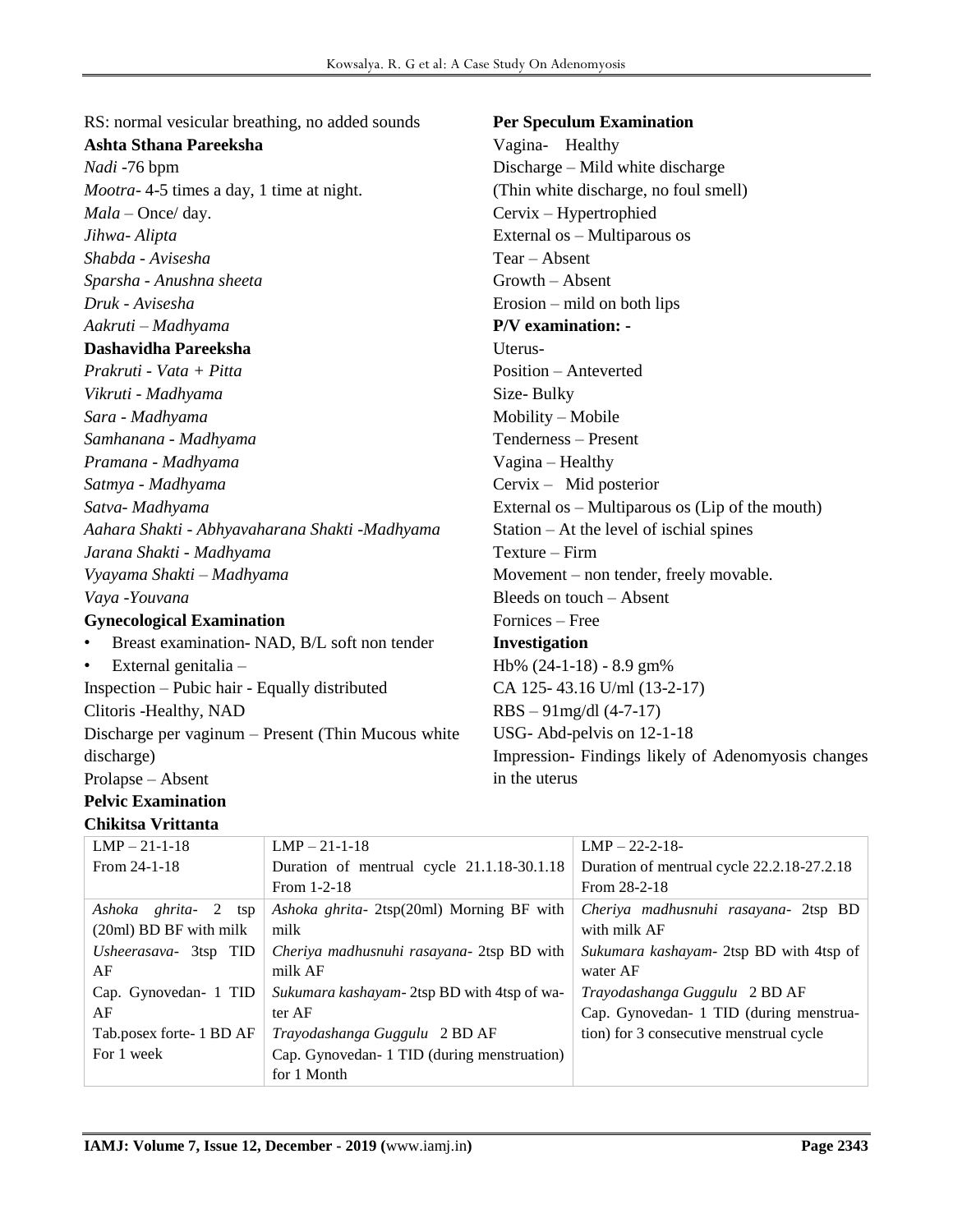RS: normal vesicular breathing, no added sounds **Ashta Sthana Pareeksha** *Nadi* -76 bpm *Mootra*- 4-5 times a day, 1 time at night.

*Mala* – Once/ day. *Jihwa- Alipta Shabda - Avisesha Sparsha - Anushna sheeta Druk - Avisesha Aakruti – Madhyama*

#### **Dashavidha Pareeksha**

*Prakruti - Vata + Pitta Vikruti - Madhyama Sara - Madhyama Samhanana - Madhyama Pramana - Madhyama Satmya - Madhyama Satva- Madhyama Aahara Shakti - Abhyavaharana Shakti -Madhyama Jarana Shakti - Madhyama Vyayama Shakti – Madhyama Vaya -Youvana*

#### **Gynecological Examination**

Breast examination- NAD, B/L soft non tender

• External genitalia –

Inspection – Pubic hair - Equally distributed Clitoris -Healthy, NAD

Discharge per vaginum – Present (Thin Mucous white discharge)

Prolapse – Absent

#### **Pelvic Examination Chikitsa Vrittanta**

**Per Speculum Examination**

Vagina- Healthy Discharge – Mild white discharge (Thin white discharge, no foul smell) Cervix – Hypertrophied External os – Multiparous os Tear – Absent Growth – Absent Erosion – mild on both lips **P/V examination: -** Uterus-Position – Anteverted Size- Bulky Mobility – Mobile Tenderness – Present Vagina – Healthy Cervix – Mid posterior External os – Multiparous os (Lip of the mouth) Station – At the level of ischial spines Texture – Firm Movement – non tender, freely movable. Bleeds on touch – Absent Fornices – Free **Investigation** Hb% (24-1-18) - 8.9 gm% CA 125- 43.16 U/ml (13-2-17) RBS – 91mg/dl (4-7-17) USG- Abd-pelvis on 12-1-18 Impression- Findings likely of Adenomyosis changes in the uterus

| $LMP - 21-1-18$          | $LMP - 21-1-18$                                    | $LMP - 22-2-18-$                           |  |
|--------------------------|----------------------------------------------------|--------------------------------------------|--|
| From $24-1-18$           | Duration of mentrual cycle 21.1.18-30.1.18         | Duration of mentrual cycle 22.2.18-27.2.18 |  |
|                          | From 1-2-18                                        | From 28-2-18                               |  |
| Ashoka ghrita- 2 tsp     | Ashoka ghrita- 2tsp(20ml) Morning BF with          | Cheriya madhusnuhi rasayana- 2tsp BD       |  |
| $(20ml)$ BD BF with milk | milk                                               | with milk AF                               |  |
| Usheerasava- 3tsp TID    | <i>Cheriya madhusnuhi rasayana- 2tsp BD with</i>   | Sukumara kashayam- 2tsp BD with 4tsp of    |  |
| AF                       | milk AF                                            | water AF                                   |  |
| Cap. Gynovedan- 1 TID    | <i>Sukumara kashayam</i> -2tsp BD with 4tsp of wa- | Trayodashanga Guggulu 2 BD AF              |  |
| AF                       | ter AF                                             | Cap. Gynovedan- 1 TID (during menstrua-    |  |
| Tab.posex forte-1 BD AF  | Trayodashanga Guggulu 2 BD AF                      | tion) for 3 consecutive menstrual cycle    |  |
| For 1 week               | Cap. Gynovedan- 1 TID (during menstruation)        |                                            |  |
|                          | for 1 Month                                        |                                            |  |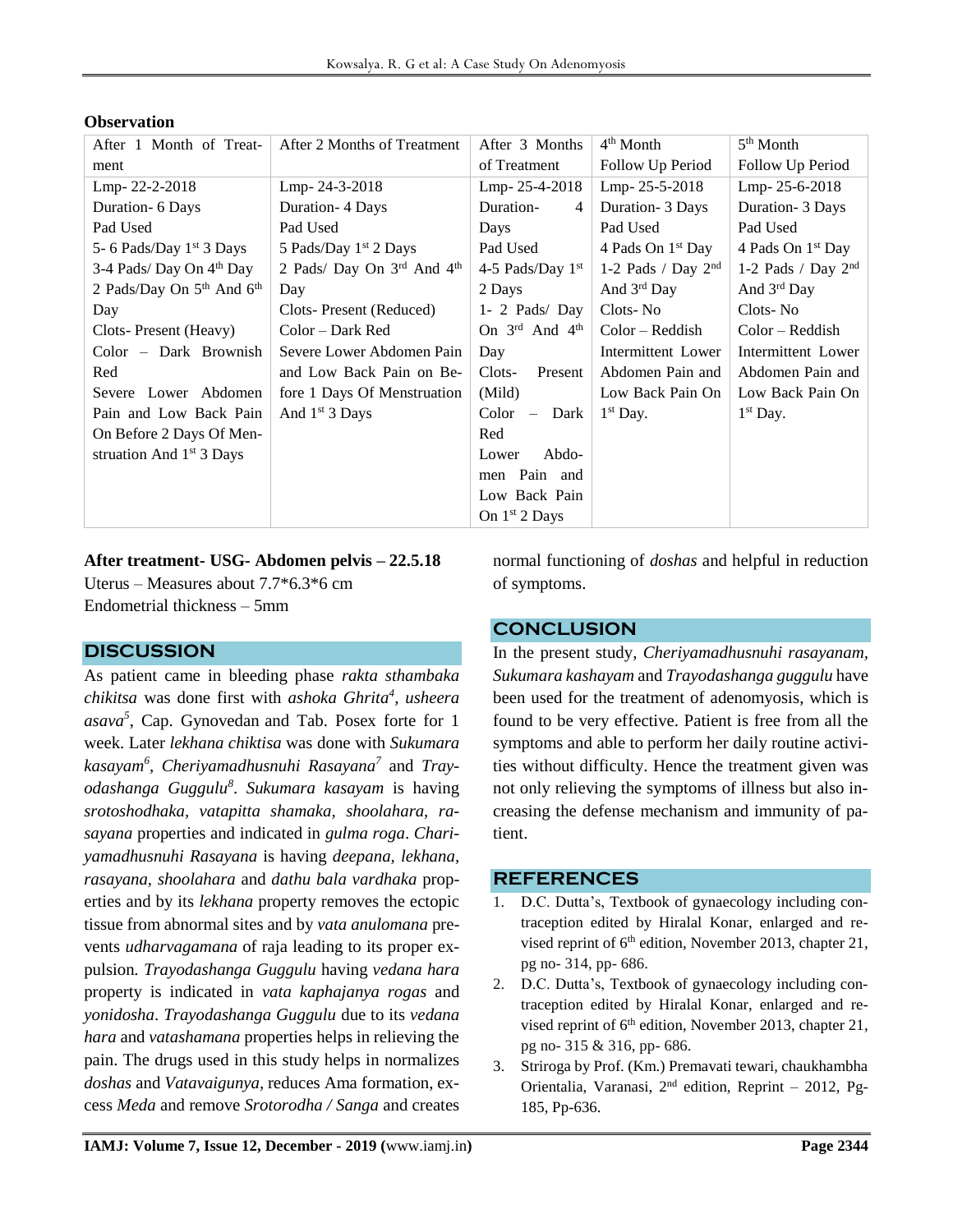| After 1 Month of Treat-             | After 2 Months of Treatment    | After 3 Months                         | $4th$ Month                   | $5th$ Month                   |
|-------------------------------------|--------------------------------|----------------------------------------|-------------------------------|-------------------------------|
| ment                                |                                | of Treatment                           | Follow Up Period              | Follow Up Period              |
| Lmp-22-2-2018                       | Lmp-24-3-2018                  | Lmp-25-4-2018                          | Lmp-25-5-2018                 | Lmp-25-6-2018                 |
| Duration - 6 Days                   | Duration- 4 Days               | Duration-<br>$\overline{4}$            | Duration- 3 Days              | Duration- 3 Days              |
| Pad Used                            | Pad Used                       | Days                                   | Pad Used                      | Pad Used                      |
| 5- 6 Pads/Day 1st 3 Days            | 5 Pads/Day 1st 2 Days          | Pad Used                               | 4 Pads On 1 <sup>st</sup> Day | 4 Pads On 1 <sup>st</sup> Day |
| 3-4 Pads/Day On 4 <sup>th</sup> Day | 2 Pads/ Day On $3rd$ And $4th$ | 4-5 Pads/Day $1st$                     | 1-2 Pads / Day $2nd$          | 1-2 Pads / Day $2nd$          |
| 2 Pads/Day On $5th$ And $6th$       | Day                            | 2 Days                                 | And $3rd$ Day                 | And $3rd$ Day                 |
| Day                                 | Clots-Present (Reduced)        | $1 - 2$ Pads/Day                       | Clots-No                      | Clots-No                      |
| Clots-Present (Heavy)               | Color – Dark Red               | On $3^{\text{rd}}$ And $4^{\text{th}}$ | $Color - Reddish$             | $Color - Reddish$             |
| Color – Dark Brownish               | Severe Lower Abdomen Pain      | Day                                    | Intermittent Lower            | Intermittent Lower            |
| Red                                 | and Low Back Pain on Be-       | Present<br>Clots-                      | Abdomen Pain and              | Abdomen Pain and              |
| Severe Lower Abdomen                | fore 1 Days Of Menstruation    | (Mild)                                 | Low Back Pain On              | Low Back Pain On              |
| Pain and Low Back Pain              | And 1 <sup>st</sup> 3 Days     | $Color -$<br>Dark                      | $1st$ Day.                    | $1st$ Day.                    |
| On Before 2 Days Of Men-            |                                | Red                                    |                               |                               |
| struation And $1st$ 3 Days          |                                | Abdo-<br>Lower                         |                               |                               |
|                                     |                                | men Pain and                           |                               |                               |
|                                     |                                | Low Back Pain                          |                               |                               |
|                                     |                                | On $1st 2$ Days                        |                               |                               |

### **Observation**

**After treatment- USG- Abdomen pelvis – 22.5.18** Uterus – Measures about 7.7\*6.3\*6 cm Endometrial thickness – 5mm

# **DISCUSSION**

As patient came in bleeding phase *rakta sthambaka chikitsa* was done first with *ashoka Ghrita<sup>4</sup> , usheera asava<sup>5</sup>* , Cap. Gynovedan and Tab. Posex forte for 1 week. Later *lekhana chiktisa* was done with *Sukumara kasayam<sup>6</sup> , Cheriyamadhusnuhi Rasayana<sup>7</sup>* and *Trayodashanga Guggulu<sup>8</sup>* . *Sukumara kasayam* is having *srotoshodhaka, vatapitta shamaka, shoolahara, rasayana* properties and indicated in *gulma roga*. *Chariyamadhusnuhi Rasayana* is having *deepana, lekhana, rasayana, shoolahara* and *dathu bala vardhaka* properties and by its *lekhana* property removes the ectopic tissue from abnormal sites and by *vata anulomana* prevents *udharvagamana* of raja leading to its proper expulsion*. Trayodashanga Guggulu* having *vedana hara*  property is indicated in *vata kaphajanya rogas* and *yonidosha*. *Trayodashanga Guggulu* due to its *vedana hara* and *vatashamana* properties helps in relieving the pain. The drugs used in this study helps in normalizes *doshas* and *Vatavaigunya,* reduces Ama formation, excess *Meda* and remove *Srotorodha / Sanga* and creates

normal functioning of *doshas* and helpful in reduction of symptoms.

# **CONCLUSION**

In the present study, *Cheriyamadhusnuhi rasayanam, Sukumara kashayam* and *Trayodashanga guggulu* have been used for the treatment of adenomyosis, which is found to be very effective. Patient is free from all the symptoms and able to perform her daily routine activities without difficulty. Hence the treatment given was not only relieving the symptoms of illness but also increasing the defense mechanism and immunity of patient.

# **REFERENCES**

- 1. D.C. Dutta's, Textbook of gynaecology including contraception edited by Hiralal Konar, enlarged and revised reprint of  $6<sup>th</sup>$  edition, November 2013, chapter 21, pg no- 314, pp- 686.
- 2. D.C. Dutta's, Textbook of gynaecology including contraception edited by Hiralal Konar, enlarged and revised reprint of  $6<sup>th</sup>$  edition, November 2013, chapter 21, pg no- 315 & 316, pp- 686.
- 3. Striroga by Prof. (Km.) Premavati tewari, chaukhambha Orientalia, Varanasi, 2nd edition, Reprint – 2012, Pg-185, Pp-636.